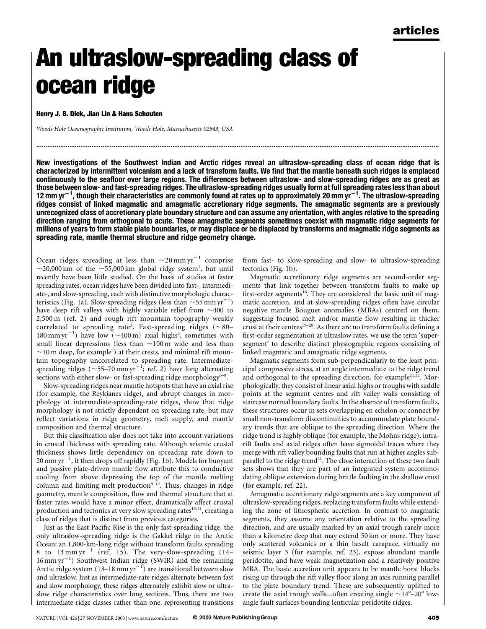# An ultraslow-spreading class of ocean ridge

#### Henry J. B. Dick, Jian Lin & Hans Schouten

Woods Hole Oceanographic Institution, Woods Hole, Massachusetts 02543, USA

New investigations of the Southwest Indian and Arctic ridges reveal an ultraslow-spreading class of ocean ridge that is characterized by intermittent volcanism and a lack of transform faults. We find that the mantle beneath such ridges is emplaced continuously to the seafloor over large regions. The differences between ultraslow- and slow-spreading ridges are as great as those between slow- and fast-spreading ridges. The ultraslow-spreading ridges usually form at full spreading rates less than about 12 mm yr<sup>-1</sup>, though their characteristics are commonly found at rates up to approximately 20 mm yr<sup>-1</sup>. The ultraslow-spreading ridges consist of linked magmatic and amagmatic accretionary ridge segments. The amagmatic segments are a previously unrecognized class of accretionary plate boundary structure and can assume any orientation, with angles relative to the spreading direction ranging from orthogonal to acute. These amagmatic segments sometimes coexist with magmatic ridge segments for millions of years to form stable plate boundaries, or may displace or be displaced by transforms and magmatic ridge segments as spreading rate, mantle thermal structure and ridge geometry change.

...........................................................................................................................................................................................................................

Ocean ridges spreading at less than  $\sim$ 20 mm yr<sup>-1</sup> comprise  $\sim$ 20,000 km of the  $\sim$ 55,000 km global ridge system<sup>1</sup>, but until recently have been little studied. On the basis of studies at faster spreading rates, ocean ridges have been divided into fast-, intermediate-, and slow-spreading, each with distinctive morphologic characteristics (Fig. 1a). Slow-spreading ridges (less than  $\sim$  55 mm yr<sup>-1</sup>) have deep rift valleys with highly variable relief from  $\sim$ 400 to 2,500 m (ref. 2) and rough rift mountain topography weakly correlated to spreading rate<sup>3</sup>. Fast-spreading ridges  $(\sim80-$ 180 mm yr<sup>-1</sup>) have low ( $\sim$ 400 m) axial highs<sup>4</sup>, sometimes with small linear depressions (less than  $\sim$ 100 m wide and less than  $\sim$ 10 m deep, for example<sup>5</sup>) at their crests, and minimal rift mountain topography uncorrelated to spreading rate. Intermediatespreading ridges ( $\sim$ 55–70 mm yr $^{-1}$ ; ref. 2) have long alternating sections with either slow- or fast-spreading ridge morphology<sup>6-8</sup>.

Slow-spreading ridges near mantle hotspots that have an axial rise (for example, the Reykjanes ridge), and abrupt changes in morphology at intermediate-spreading-rate ridges, show that ridge morphology is not strictly dependent on spreading rate, but may reflect variations in ridge geometry, melt supply, and mantle composition and thermal structure.

But this classification also does not take into account variations in crustal thickness with spreading rate. Although seismic crustal thickness shows little dependency on spreading rate down to  $20$  mm yr<sup>-1</sup>, it then drops off rapidly (Fig. 1b). Models for buoyant and passive plate-driven mantle flow attribute this to conductive cooling from above depressing the top of the mantle melting column and limiting melt production $9-12$ . Thus, changes in ridge geometry, mantle composition, flow and thermal structure that at faster rates would have a minor effect, dramatically affect crustal production and tectonics at very slow spreading rates<sup>13,14</sup>, creating a class of ridges that is distinct from previous categories.

Just as the East Pacific Rise is the only fast-spreading ridge, the only ultraslow-spreading ridge is the Gakkel ridge in the Arctic Ocean: an 1,800-km-long ridge without transform faults spreading 8 to  $13 \text{ mm yr}^{-1}$  (ref. 15). The very-slow-spreading (14–  $16$  mm yr<sup>-1</sup>) Southwest Indian ridge (SWIR) and the remaining Arctic ridge system (13–18 mm yr<sup>-1</sup>) are transitional between slow and ultraslow. Just as intermediate-rate ridges alternate between fast and slow morphology, these ridges alternately exhibit slow or ultraslow ridge characteristics over long sections. Thus, there are two intermediate-ridge classes rather than one, representing transitions

from fast- to slow-spreading and slow- to ultraslow-spreading tectonics (Fig. 1b).

Magmatic accretionary ridge segments are second-order segments that link together between transform faults to make up first-order segments<sup>16</sup>. They are considered the basic unit of magmatic accretion, and at slow-spreading ridges often have circular negative mantle Bouguer anomalies (MBAs) centred on them, suggesting focused melt and/or mantle flow resulting in thicker crust at their centres<sup>17-20</sup>. As there are no transform faults defining a first-order segmentation at ultraslow rates, we use the term 'supersegment' to describe distinct physiographic regions consisting of linked magmatic and amagmatic ridge segments.

Magmatic segments form sub-perpendicularly to the least principal compressive stress, at an angle intermediate to the ridge trend and orthogonal to the spreading direction, for example<sup>21,22</sup>. Morphologically, they consist of linear axial highs or troughs with saddle points at the segment centres and rift valley walls consisting of staircase normal boundary faults. In the absence of transform faults, these structures occur in sets overlapping en echelon or connect by small non-transform discontinuities to accommodate plate boundary trends that are oblique to the spreading direction. Where the ridge trend is highly oblique (for example, the Mohns ridge), intrarift faults and axial ridges often have sigmoidal traces where they merge with rift valley bounding faults that run at higher angles subparallel to the ridge trend<sup>21</sup>. The close interaction of these two fault sets shows that they are part of an integrated system accommodating oblique extension during brittle faulting in the shallow crust (for example, ref. 22).

Amagmatic accretionary ridge segments are a key component of ultraslow-spreading ridges, replacing transform faults while extending the zone of lithospheric accretion. In contrast to magmatic segments, they assume any orientation relative to the spreading direction, and are usually marked by an axial trough rarely more than a kilometre deep that may extend 50 km or more. They have only scattered volcanics or a thin basalt carapace, virtually no seismic layer 3 (for example, ref. 23), expose abundant mantle peridotite, and have weak magnetization and a relatively positive MBA. The basic accretion unit appears to be mantle horst blocks rising up through the rift valley floor along an axis running parallel to the plate boundary trend. These are subsequently uplifted to create the axial trough walls—often creating single  $\sim$ 14°–20° lowangle fault surfaces bounding lenticular peridotite ridges.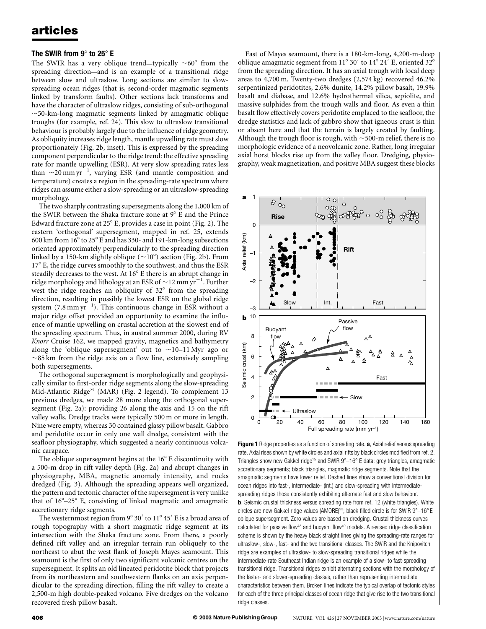#### The SWIR from  $9^\circ$  to 25 $^\circ$  E

The SWIR has a very oblique trend—typically  $\sim 60^{\circ}$  from the spreading direction—and is an example of a transitional ridge between slow and ultraslow. Long sections are similar to slowspreading ocean ridges (that is, second-order magmatic segments linked by transform faults). Other sections lack transforms and have the character of ultraslow ridges, consisting of sub-orthogonal  $\sim$ 50-km-long magmatic segments linked by amagmatic oblique troughs (for example, ref. 24). This slow to ultraslow transitional behaviour is probably largely due to the influence of ridge geometry. As obliquity increases ridge length, mantle upwelling rate must slow proportionately (Fig. 2b, inset). This is expressed by the spreading component perpendicular to the ridge trend: the effective spreading rate for mantle upwelling (ESR). At very slow spreading rates less than  $\sim$ 20 mm yr<sup> $-1$ </sup>, varying ESR (and mantle composition and temperature) creates a region in the spreading-rate spectrum where ridges can assume either a slow-spreading or an ultraslow-spreading morphology.

The two sharply contrasting supersegments along the 1,000 km of the SWIR between the Shaka fracture zone at  $9^{\circ}$  E and the Prince Edward fracture zone at  $25^{\circ}$  E, provides a case in point (Fig. 2). The eastern 'orthogonal' supersegment, mapped in ref. 25, extends 600 km from  $16^{\circ}$  to  $25^{\circ}$  E and has 330- and 191-km-long subsections oriented approximately perpendicularly to the spreading direction linked by a 150-km slightly oblique  $(\sim 10^{\circ})$  section (Fig. 2b). From  $17^{\circ}$  E, the ridge curves smoothly to the southwest, and thus the ESR steadily decreases to the west. At  $16^{\circ}$  E there is an abrupt change in ridge morphology and lithology at an ESR of  $\sim$  12 mm yr<sup>-1</sup>. Further west the ridge reaches an obliquity of  $32^{\circ}$  from the spreading direction, resulting in possibly the lowest ESR on the global ridge system  $(7.8 \text{ mm yr}^{-1})$ . This continuous change in ESR without a major ridge offset provided an opportunity to examine the influence of mantle upwelling on crustal accretion at the slowest end of the spreading spectrum. Thus, in austral summer 2000, during RV Knorr Cruise 162, we mapped gravity, magnetics and bathymetry along the 'oblique supersegment' out to  $\sim$ 10–11 Myr ago or  $\sim$ 85 km from the ridge axis on a flow line, extensively sampling both supersegments.

The orthogonal supersegment is morphologically and geophysically similar to first-order ridge segments along the slow-spreading Mid-Atlantic Ridge<sup>25</sup> (MAR) (Fig. 2 legend). To complement 13 previous dredges, we made 28 more along the orthogonal supersegment (Fig. 2a): providing 26 along the axis and 15 on the rift valley walls. Dredge tracks were typically 500 m or more in length. Nine were empty, whereas 30 contained glassy pillow basalt. Gabbro and peridotite occur in only one wall dredge, consistent with the seafloor physiography, which suggested a nearly continuous volcanic carapace.

The oblique supersegment begins at the  $16^{\circ}$  E discontinuity with a 500-m drop in rift valley depth (Fig. 2a) and abrupt changes in physiography, MBA, magnetic anomaly intensity, and rocks dredged (Fig. 3). Although the spreading appears well organized, the pattern and tectonic character of the supersegment is very unlike that of  $16^{\circ}-25^{\circ}$  E, consisting of linked magmatic and amagmatic accretionary ridge segments.

The westernmost region from  $9^{\circ}30'$  to  $11^{\circ}45'$  E is a broad area of rough topography with a short magmatic ridge segment at its intersection with the Shaka fracture zone. From there, a poorly defined rift valley and an irregular terrain run obliquely to the northeast to abut the west flank of Joseph Mayes seamount. This seamount is the first of only two significant volcanic centres on the supersegment. It splits an old lineated peridotite block that projects from its northeastern and southwestern flanks on an axis perpendicular to the spreading direction, filling the rift valley to create a 2,500-m high double-peaked volcano. Five dredges on the volcano recovered fresh pillow basalt.

East of Mayes seamount, there is a 180-km-long, 4,200-m-deep oblique amagmatic segment from 11° 30' to 14° 24<sup>7</sup> E, oriented 32° from the spreading direction. It has an axial trough with local deep areas to 4,700 m. Twenty-two dredges (2,574 kg) recovered 46.2% serpentinized peridotites, 2.6% dunite, 14.2% pillow basalt, 19.9% basalt and diabase, and 12.6% hydrothermal silica, sepiolite, and massive sulphides from the trough walls and floor. As even a thin basalt flow effectively covers peridotite emplaced to the seafloor, the dredge statistics and lack of gabbro show that igneous crust is thin or absent here and that the terrain is largely created by faulting. Although the trough floor is rough, with  $\sim$  500-m relief, there is no morphologic evidence of a neovolcanic zone. Rather, long irregular axial horst blocks rise up from the valley floor. Dredging, physiography, weak magnetization, and positive MBA suggest these blocks



Figure 1 Ridge properties as a function of spreading rate. a, Axial relief versus spreading rate. Axial rises shown by white circles and axial rifts by black circles modified from ref. 2. Triangles show new Gakkel ridge<sup>15</sup> and SWIR  $9^{\circ}$ –16 $^{\circ}$  E data: grey triangles, amagmatic accretionary segments; black triangles, magmatic ridge segments. Note that the amagmatic segments have lower relief. Dashed lines show a conventional division for ocean ridges into fast-, intermediate- (Int.) and slow-spreading with intermediatespreading ridges those consistently exhibiting alternate fast and slow behaviour. b, Seismic crustal thickness versus spreading rate from ref. 12 (white triangles). White circles are new Gakkel ridge values (AMORE)<sup>23</sup>; black filled circle is for SWIR  $9^{\circ}-16^{\circ}$  E oblique supersegment. Zero values are based on dredging. Crustal thickness curves calculated for passive flow<sup>48</sup> and buoyant flow<sup>49</sup> models. A revised ridge classification scheme is shown by the heavy black straight lines giving the spreading-rate ranges for ultraslow-, slow-, fast- and the two transitional classes. The SWIR and the Knipovitch ridge are examples of ultraslow- to slow-spreading transitional ridges while the intermediate-rate Southeast Indian ridge is an example of a slow- to fast-spreading transitional ridge. Transitional ridges exhibit alternating sections with the morphology of the faster- and slower-spreading classes, rather than representing intermediate characteristics between them. Broken lines indicate the typical overlap of tectonic styles for each of the three principal classes of ocean ridge that give rise to the two transitional ridge classes.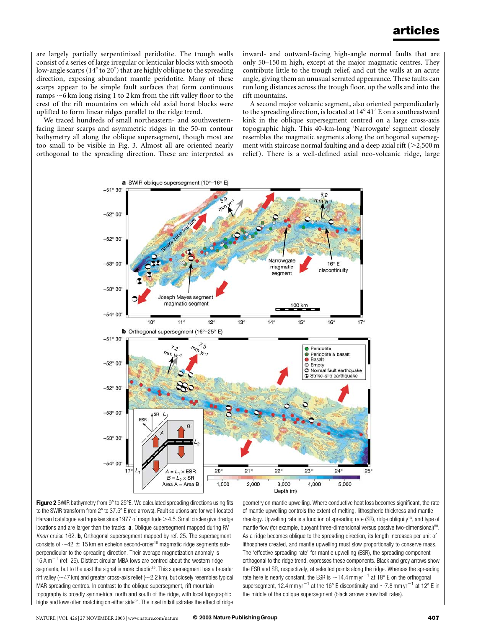are largely partially serpentinized peridotite. The trough walls consist of a series of large irregular or lenticular blocks with smooth low-angle scarps ( $14^{\circ}$  to  $20^{\circ}$ ) that are highly oblique to the spreading direction, exposing abundant mantle peridotite. Many of these scarps appear to be simple fault surfaces that form continuous ramps  $\sim$  6 km long rising 1 to 2 km from the rift valley floor to the crest of the rift mountains on which old axial horst blocks were uplifted to form linear ridges parallel to the ridge trend.

We traced hundreds of small northeastern- and southwesternfacing linear scarps and asymmetric ridges in the 50-m contour bathymetry all along the oblique supersegment, though most are too small to be visible in Fig. 3. Almost all are oriented nearly orthogonal to the spreading direction. These are interpreted as

inward- and outward-facing high-angle normal faults that are only 50–150 m high, except at the major magmatic centres. They contribute little to the trough relief, and cut the walls at an acute angle, giving them an unusual serrated appearance. These faults can run long distances across the trough floor, up the walls and into the rift mountains.

A second major volcanic segment, also oriented perpendicularly to the spreading direction, is located at 14° 41' E on a southeastward kink in the oblique supersegment centred on a large cross-axis topographic high. This 40-km-long 'Narrowgate' segment closely resembles the magmatic segments along the orthogonal supersegment with staircase normal faulting and a deep axial rift  $(>2,500 \text{ m})$ relief). There is a well-defined axial neo-volcanic ridge, large



Figure 2 SWIR bathymetry from  $9^{\circ}$  to 25 $^{\circ}$ E. We calculated spreading directions using fits to the SWIR transform from  $2^{\circ}$  to 37.5° E (red arrows). Fault solutions are for well-located Harvard catalogue earthquakes since 1977 of magnitude  $>4.5$ . Small circles give dredge locations and are larger than the tracks. a, Oblique supersegment mapped during RV Knorr cruise 162. **b**, Orthogonal supersegment mapped by ref. 25. The supersegment consists of  $\sim$  42  $\pm$  15 km en echelon second-order<sup>16</sup> magmatic ridge segments subperpendicular to the spreading direction. Their average magnetization anomaly is  $15 \text{ A m}^{-1}$  (ref. 25). Distinct circular MBA lows are centred about the western ridge segments, but to the east the signal is more chaotic<sup>25</sup>. This supersegment has a broader rift valley ( $\sim$  47 km) and greater cross-axis relief ( $\sim$  2.2 km), but closely resembles typical MAR spreading centres. In contrast to the oblique supersegment, rift mountain topography is broadly symmetrical north and south of the ridge, with local topographic highs and lows often matching on either side<sup>25</sup>. The inset in **b** illustrates the effect of ridge

geometry on mantle upwelling. Where conductive heat loss becomes significant, the rate of mantle upwelling controls the extent of melting, lithospheric thickness and mantle rheology. Upwelling rate is a function of spreading rate (SR), ridge obliquity<sup>13</sup>, and type of mantle flow (for example, buoyant three-dimensional versus passive two-dimensional)<sup>50</sup>. As a ridge becomes oblique to the spreading direction, its length increases per unit of lithosphere created, and mantle upwelling must slow proportionally to conserve mass. The 'effective spreading rate' for mantle upwelling (ESR), the spreading component orthogonal to the ridge trend, expresses these components. Black and grey arrows show the ESR and SR, respectively, at selected points along the ridge. Whereas the spreading rate here is nearly constant, the ESR is  $\sim$  14.4 mm yr<sup>-1</sup> at 18° E on the orthogonal supersegment, 12.4 mm yr<sup>-1</sup> at the 16° E discontinuity and  $\sim$ 7.8 mm yr<sup>-1</sup> at 12° E in the middle of the oblique supersegment (black arrows show half rates).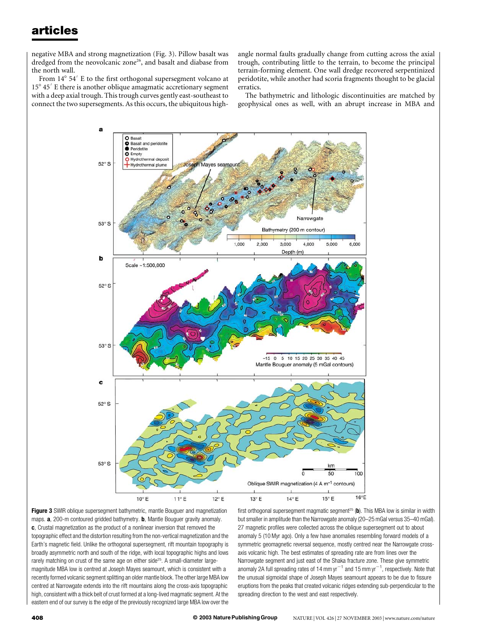negative MBA and strong magnetization (Fig. 3). Pillow basalt was dredged from the neovolcanic zone<sup>26</sup>, and basalt and diabase from the north wall.

From 14° 54' E to the first orthogonal supersegment volcano at 15° 45' E there is another oblique amagmatic accretionary segment with a deep axial trough. This trough curves gently east-southeast to connect the two supersegments. As this occurs, the ubiquitous high-

angle normal faults gradually change from cutting across the axial trough, contributing little to the terrain, to become the principal terrain-forming element. One wall dredge recovered serpentinized peridotite, while another had scoria fragments thought to be glacial erratics.

The bathymetric and lithologic discontinuities are matched by geophysical ones as well, with an abrupt increase in MBA and





first orthogonal supersegment magmatic segment<sup>25</sup> (b). This MBA low is similar in width but smaller in amplitude than the Narrowgate anomaly (20–25 mGal versus 35–40 mGal). 27 magnetic profiles were collected across the oblique supersegment out to about anomaly 5 (10 Myr ago). Only a few have anomalies resembling forward models of a symmetric geomagnetic reversal sequence, mostly centred near the Narrowgate crossaxis volcanic high. The best estimates of spreading rate are from lines over the Narrowgate segment and just east of the Shaka fracture zone. These give symmetric anomaly 2A full spreading rates of 14 mm yr $^{-1}$  and 15 mm yr $^{-1}$ , respectively. Note that the unusual sigmoidal shape of Joseph Mayes seamount appears to be due to fissure eruptions from the peaks that created volcanic ridges extending sub-perpendicular to the spreading direction to the west and east respectively.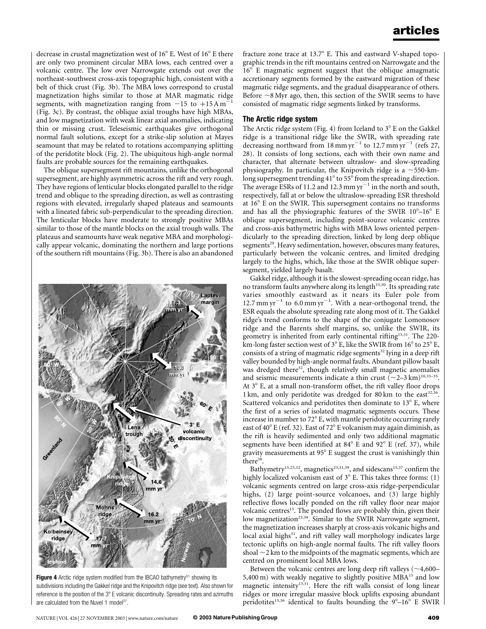decrease in crustal magnetization west of  $16^{\circ}$  E. West of  $16^{\circ}$  E there are only two prominent circular MBA lows, each centred over a volcanic centre. The low over Narrowgate extends out over the northeast-southwest cross-axis topographic high, consistent with a belt of thick crust (Fig. 3b). The MBA lows correspond to crustal magnetization highs similar to those at MAR magmatic ridge segments, with magnetization ranging from  $-15$  to  $+15$  A m<sup>-1</sup> (Fig. 3c). By contrast, the oblique axial troughs have high MBAs, and low magnetization with weak linear axial anomalies, indicating thin or missing crust. Teleseismic earthquakes give orthogonal normal fault solutions, except for a strike-slip solution at Mayes seamount that may be related to rotations accompanying splitting of the peridotite block (Fig. 2). The ubiquitous high-angle normal faults are probable sources for the remaining earthquakes.

The oblique supersegment rift mountains, unlike the orthogonal supersegment, are highly asymmetric across the rift and very rough. They have regions of lenticular blocks elongated parallel to the ridge trend and oblique to the spreading direction, as well as contrasting regions with elevated, irregularly shaped plateaus and seamounts with a lineated fabric sub-perpendicular to the spreading direction. The lenticular blocks have moderate to strongly positive MBAs similar to those of the mantle blocks on the axial trough walls. The plateaus and seamounts have weak negative MBA and morphologically appear volcanic, dominating the northern and large portions of the southern rift mountains (Fig. 3b). There is also an abandoned



**Figure 4** Arctic ridge system modified from the IBCAO bathymetry<sup>51</sup> showing its subdivisions including the Gakkel ridge and the Knipovitch ridge (see text). Also shown for reference is the position of the  $3^\circ$  E volcanic discontinuity. Spreading rates and azimuths are calculated from the Nuvel 1 model27.

fracture zone trace at  $13.7^\circ$  E. This and eastward V-shaped topographic trends in the rift mountains centred on Narrowgate and the  $16^{\circ}$  E magmatic segment suggest that the oblique amagmatic accretionary segments formed by the eastward migration of these magmatic ridge segments, and the gradual disappearance of others. Before  $\sim$ 8 Myr ago, then, this section of the SWIR seems to have consisted of magmatic ridge segments linked by transforms.

#### The Arctic ridge system

The Arctic ridge system (Fig. 4) from Iceland to  $3^\circ$  E on the Gakkel ridge is a transitional ridge like the SWIR, with spreading rate decreasing northward from 18 mm yr<sup>-1</sup> to 12.7 mm yr<sup>-1</sup> (refs 27, 28). It consists of long sections, each with their own name and character, that alternate between ultraslow- and slow-spreading physiography. In particular, the Knipovitch ridge is a  $\sim$  550-kmlong supersegment trending 41 $^{\circ}$  to 55 $^{\circ}$  from the spreading direction. The average ESRs of 11.2 and 12.3 mm  $\text{yr}^{-1}$  in the north and south, respectively, fall at or below the ultraslow-spreading ESR threshold at  $16^{\circ}$  E on the SWIR. This supersegment contains no transforms and has all the physiographic features of the SWIR  $10^{\circ}$ – $16^{\circ}$  E oblique supersegment, including point-source volcanic centres and cross-axis bathymetric highs with MBA lows oriented perpendicularly to the spreading direction, linked by long deep oblique segments<sup>29</sup>. Heavy sedimentation, however, obscures many features, particularly between the volcanic centres, and limited dredging largely to the highs, which, like those at the SWIR oblique supersegment, yielded largely basalt.

Gakkel ridge, although it is the slowest-spreading ocean ridge, has no transform faults anywhere along its length<sup>15,30</sup>. Its spreading rate varies smoothly eastward as it nears its Euler pole from 12.7 mm yr<sup>-1</sup> to 6.0 mm yr<sup>-1</sup>. With a near-orthogonal trend, the ESR equals the absolute spreading rate along most of it. The Gakkel ridge's trend conforms to the shape of the conjugate Lomonosov ridge and the Barents shelf margins, so, unlike the SWIR, its geometry is inherited from early continental rifting<sup>15,31</sup>. The 220km-long faster section west of  $3^{\circ}$  E, like the SWIR from  $16^{\circ}$  to  $25^{\circ}$  E, consists of a string of magmatic ridge segments<sup>32</sup> lying in a deep rift valley bounded by high-angle normal faults. Abundant pillow basalt was dredged there<sup>32</sup>, though relatively small magnetic anomalies and seismic measurements indicate a thin crust  $({\sim}2{-}3 \text{ km})^{10,33-35}$ . At  $3^\circ$  E, at a small non-transform offset, the rift valley floor drops 1 km, and only peridotite was dredged for 80 km to the east<sup>32,36</sup>. Scattered volcanics and peridotites then dominate to  $13^{\circ}$  E, where the first of a series of isolated magmatic segments occurs. These increase in number to  $72^{\circ}$  E, with mantle peridotite occurring rarely east of 40° E (ref. 32). East of 72° E volcanism may again diminish, as the rift is heavily sedimented and only two additional magmatic segments have been identified at  $84^\circ$  E and  $92^\circ$  E (ref. 37), while gravity measurements at  $95^\circ$  E suggest the crust is vanishingly thin there<sup>38</sup>.

Bathymetry<sup>15,23,32</sup>, magnetics<sup>23,31,39</sup>, and sidescans<sup>15,37</sup> confirm the highly localized volcanism east of  $3^\circ$  E. This takes three forms: (1) volcanic segments centred on large cross-axis ridge-perpendicular highs, (2) large point-source volcanoes, and (3) large highly reflective flows locally ponded on the rift valley floor near major volcanic centres<sup>15</sup>. The ponded flows are probably thin, given their low magnetization<sup>23,39</sup>. Similar to the SWIR Narrowgate segment, the magnetization increases sharply at cross-axis volcanic highs and local axial highs<sup>31</sup>, and rift valley wall morphology indicates large tectonic uplifts on high-angle normal faults. The rift valley floors shoal  $\sim$  2 km to the midpoints of the magmatic segments, which are centred on prominent local MBA lows.

Between the volcanic centres are long deep rift valleys  $(\sim 4,600-$ 5,400 m) with weakly negative to slightly positive MBA<sup>15</sup> and low magnetic intensity<sup>13,31</sup>. Here the rift walls consist of long linear ridges or more irregular massive block uplifts exposing abundant peridotites<sup>15,36</sup> identical to faults bounding the  $9^{\circ}-16^{\circ}$  E SWIR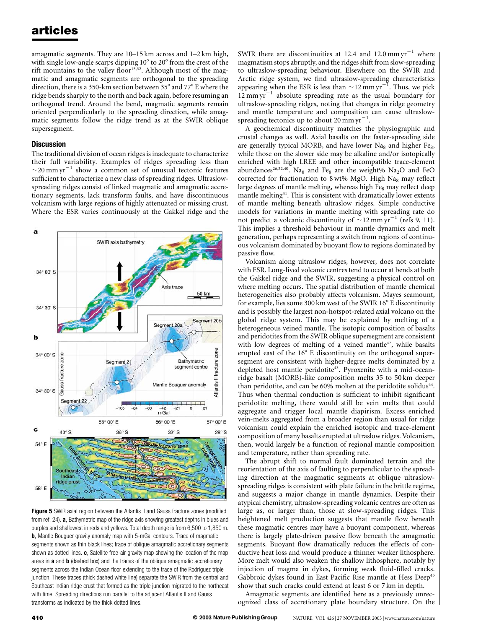amagmatic segments. They are 10–15 km across and 1–2 km high, with single low-angle scarps dipping  $10^{\circ}$  to  $20^{\circ}$  from the crest of the rift mountains to the valley floor<sup>15,32</sup>. Although most of the magmatic and amagmatic segments are orthogonal to the spreading direction, there is a 350-km section between 35 $^{\circ}$  and 77 $^{\circ}$  E where the ridge bends sharply to the north and back again, before resuming an orthogonal trend. Around the bend, magmatic segments remain oriented perpendicularly to the spreading direction, while amagmatic segments follow the ridge trend as at the SWIR oblique supersegment.

#### **Discussion**

The traditional division of ocean ridges is inadequate to characterize their full variability. Examples of ridges spreading less than  $\sim$ 20 mm yr<sup>-1</sup> show a common set of unusual tectonic features sufficient to characterize a new class of spreading ridges. Ultraslowspreading ridges consist of linked magmatic and amagmatic accretionary segments, lack transform faults, and have discontinuous volcanism with large regions of highly attenuated or missing crust. Where the ESR varies continuously at the Gakkel ridge and the



Figure 5 SWIR axial region between the Atlantis II and Gauss fracture zones (modified from ref. 24). a, Bathymetric map of the ridge axis showing greatest depths in blues and purples and shallowest in reds and yellows. Total depth range is from 6,500 to 1,850 m. b, Mantle Bouguer gravity anomaly map with 5-mGal contours. Trace of magmatic segments shown as thin black lines; trace of oblique amagmatic accretionary segments shown as dotted lines. c, Satellite free-air gravity map showing the location of the map areas in **a** and **b** (dashed box) and the traces of the oblique amagmatic accretionary segments across the Indian Ocean floor extending to the trace of the Rodriguez triple junction. These traces (thick dashed white line) separate the SWIR from the central and Southeast Indian ridge crust that formed as the triple junction migrated to the northeast with time. Spreading directions run parallel to the adjacent Atlantis II and Gauss transforms as indicated by the thick dotted lines.

SWIR there are discontinuities at 12.4 and 12.0 mm  $\text{yr}^{-1}$  where magmatism stops abruptly, and the ridges shift from slow-spreading to ultraslow-spreading behaviour. Elsewhere on the SWIR and Arctic ridge system, we find ultraslow-spreading characteristics appearing when the ESR is less than  $\sim$  12 mm yr<sup>-1</sup>. Thus, we pick  $12$  mm yr<sup>-1</sup> absolute spreading rate as the usual boundary for ultraslow-spreading ridges, noting that changes in ridge geometry and mantle temperature and composition can cause ultraslowspreading tectonics up to about 20 mm yr<sup>-1</sup>.

A geochemical discontinuity matches the physiographic and crustal changes as well. Axial basalts on the faster-spreading side are generally typical MORB, and have lower  $Na<sub>8</sub>$  and higher Fe $_8$ , while those on the slower side may be alkaline and/or isotopically enriched with high LREE and other incompatible trace-element abundances<sup>26,32,40</sup>. Na<sub>8</sub> and Fe<sub>8</sub> are the weight% Na<sub>2</sub>O and FeO corrected for fractionation to 8 wt% MgO. High Na $_8$  may reflect large degrees of mantle melting, whereas high Fe<sub>8</sub> may reflect deep mantle melting<sup>41</sup>. This is consistent with dramatically lower extents of mantle melting beneath ultraslow ridges. Simple conductive models for variations in mantle melting with spreading rate do not predict a volcanic discontinuity of  $\sim$ 12 mm yr<sup>-1</sup> (refs 9, 11). This implies a threshold behaviour in mantle dynamics and melt generation, perhaps representing a switch from regions of continuous volcanism dominated by buoyant flow to regions dominated by passive flow.

Volcanism along ultraslow ridges, however, does not correlate with ESR. Long-lived volcanic centres tend to occur at bends at both the Gakkel ridge and the SWIR, suggesting a physical control on where melting occurs. The spatial distribution of mantle chemical heterogeneities also probably affects volcanism. Mayes seamount, for example, lies some 300 km west of the SWIR  $16^{\circ}$  E discontinuity and is possibly the largest non-hotspot-related axial volcano on the global ridge system. This may be explained by melting of a heterogeneous veined mantle. The isotopic composition of basalts and peridotites from the SWIR oblique supersegment are consistent with low degrees of melting of a veined mantle<sup>42</sup>, while basalts erupted east of the  $16^{\circ}$  E discontinuity on the orthogonal supersegment are consistent with higher-degree melts dominated by a depleted host mantle peridotite<sup>43</sup>. Pyroxenite with a mid-oceanridge basalt (MORB)-like composition melts 35 to 50 km deeper than peridotite, and can be 60% molten at the peridotite solidus<sup>44</sup>. Thus when thermal conduction is sufficient to inhibit significant peridotite melting, there would still be vein melts that could aggregate and trigger local mantle diapirism. Excess enriched vein-melts aggregated from a broader region than usual for ridge volcanism could explain the enriched isotopic and trace-element composition of many basalts erupted at ultraslow ridges. Volcanism, then, would largely be a function of regional mantle composition and temperature, rather than spreading rate.

The abrupt shift to normal fault dominated terrain and the reorientation of the axis of faulting to perpendicular to the spreading direction at the magmatic segments at oblique ultraslowspreading ridges is consistent with plate failure in the brittle regime, and suggests a major change in mantle dynamics. Despite their atypical chemistry, ultraslow-spreading volcanic centres are often as large as, or larger than, those at slow-spreading ridges. This heightened melt production suggests that mantle flow beneath these magmatic centres may have a buoyant component, whereas there is largely plate-driven passive flow beneath the amagmatic segments. Buoyant flow dramatically reduces the effects of conductive heat loss and would produce a thinner weaker lithosphere. More melt would also weaken the shallow lithosphere, notably by injection of magma in dykes, forming weak fluid-filled cracks. Gabbroic dykes found in East Pacific Rise mantle at Hess Deep<sup>45</sup> show that such cracks could extend at least 6 or 7 km in depth.

Amagmatic segments are identified here as a previously unrecognized class of accretionary plate boundary structure. On the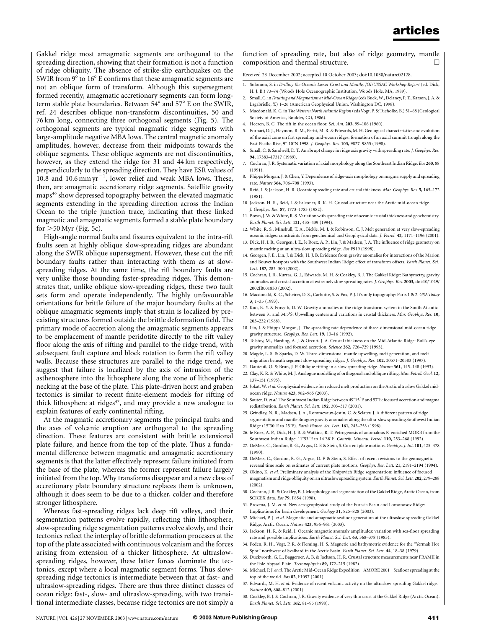Gakkel ridge most amagmatic segments are orthogonal to the spreading direction, showing that their formation is not a function of ridge obliquity. The absence of strike-slip earthquakes on the SWIR from  $9^\circ$  to  $16^\circ$  E confirms that these amagmatic segments are not an oblique form of transform. Although this supersegment formed recently, amagmatic accretionary segments can form longterm stable plate boundaries. Between 54° and 57° E on the SWIR, ref. 24 describes oblique non-transform discontinuities, 50 and 76 km long, connecting three orthogonal segments (Fig. 5). The orthogonal segments are typical magmatic ridge segments with large-amplitude negative MBA lows. The central magnetic anomaly amplitudes, however, decrease from their midpoints towards the oblique segments. These oblique segments are not discontinuities, however, as they extend the ridge for 31 and 44 km respectively, perpendicularly to the spreading direction. They have ESR values of  $10.8$  and  $10.6$  mm yr<sup>-1</sup>, lower relief and weak MBA lows. These, then, are amagmatic accretionary ridge segments. Satellite gravity maps<sup>46</sup> show depressed topography between the elevated magmatic segments extending in the spreading direction across the Indian Ocean to the triple junction trace, indicating that these linked magmatic and amagmatic segments formed a stable plate boundary for  $>50$  Myr (Fig. 5c).

High-angle normal faults and fissures equivalent to the intra-rift faults seen at highly oblique slow-spreading ridges are abundant along the SWIR oblique supersegment. However, these cut the rift boundary faults rather than interacting with them as at slowspreading ridges. At the same time, the rift boundary faults are very unlike those bounding faster-spreading ridges. This demonstrates that, unlike oblique slow-spreading ridges, these two fault sets form and operate independently. The highly unfavourable orientations for brittle failure of the major boundary faults at the oblique amagmatic segments imply that strain is localized by preexisting structures formed outside the brittle deformation field. The primary mode of accretion along the amagmatic segments appears to be emplacement of mantle peridotite directly to the rift valley floor along the axis of rifting and parallel to the ridge trend, with subsequent fault capture and block rotation to form the rift valley walls. Because these structures are parallel to the ridge trend, we suggest that failure is localized by the axis of intrusion of the asthenosphere into the lithosphere along the zone of lithospheric necking at the base of the plate. This plate-driven horst and graben tectonics is similar to recent finite-element models for rifting of thick lithosphere at ridges<sup>47</sup>, and may provide a new analogue to explain features of early continental rifting.

At the magmatic accretionary segments the principal faults and the axes of volcanic eruption are orthogonal to the spreading direction. These features are consistent with brittle extensional plate failure, and hence from the top of the plate. Thus a fundamental difference between magmatic and amagmatic accretionary segments is that the latter effectively represent failure initiated from the base of the plate, whereas the former represent failure largely initiated from the top. Why transforms disappear and a new class of accretionary plate boundary structure replaces them is unknown, although it does seem to be due to a thicker, colder and therefore stronger lithosphere.

Whereas fast-spreading ridges lack deep rift valleys, and their segmentation patterns evolve rapidly, reflecting thin lithosphere, slow-spreading ridge segmentation patterns evolve slowly, and their tectonics reflect the interplay of brittle deformation processes at the top of the plate associated with continuous volcanism and the forces arising from extension of a thicker lithosphere. At ultraslowspreading ridges, however, these latter forces dominate the tectonics, except where a local magmatic segment forms. Thus slowspreading ridge tectonics is intermediate between that at fast- and ultraslow-spreading ridges. There are thus three distinct classes of ocean ridge: fast-, slow- and ultraslow-spreading, with two transitional intermediate classes, because ridge tectonics are not simply a

function of spreading rate, but also of ridge geometry, mantle composition and thermal structure.

Received 23 December 2002; accepted 10 October 2003; doi:10.1038/nature02128.

- 1. Solomon, S. in Drilling the Oceanic Lower Crust and Mantle, JOI/USSAC Workshop Report (ed. Dick, H. J. B.) 73–74 (Woods Hole Oceanographic Institution, Woods Hole, MA, 1989).
- 2. Small, C. in Faulting and Magmatism at Mid-Ocean Ridges (eds Buck, W., Delaney, P. T., Karson, J. A. & Lagabrielle, Y.) 1–26 (American Geophysical Union, Washington DC, 1998).
- 3. Macdonald, K. C. in The Western North Atlantic Region (eds Vogt, P. & Tucholke, B.) 51–68 (Geological Society of America, Boulder, CO, 1986).
- 4. Heezen, B. C. The rift in the ocean floor. Sci. Am. 203, 99-106 (1960).
- 5. Fornari, D. J., Haymon, R. M., Perfit, M. R. & Edwards, M. H. Geological characteristics and evolution of the axial zone on fast spreading mid-ocean ridges: formation of an axial summit trough along the East Pacific Rise, 9°-10°N 1998. J. Geophys. Res. 103, 9827-9855 (1998).
- Small, C. & Sandwell, D. T. An abrupt change in ridge axis gravity with spreading rate. J. Geophys. Res. 94, 17383–17317 (1989).
- 7. Cochran, J. R. Systematic variation of axial morphology along the Southeast Indian Ridge. Eos 260, 88 (1991).
- 8. Phipps Morgan, J. & Chen, Y. Dependence of ridge-axis morphology on magma supply and spreading rate. Nature 364, 706–708 (1993).
- 9. Reid, I. & Jackson, H. R. Oceanic spreading rate and crustal thickness. Mar. Geophys. Res. 5, 165–172 (1981).
- 10. Jackson, H. R., Reid, I. & Falconer, R. K. H. Crustal structure near the Arctic mid-ocean ridge. J. Geophys. Res. 87, 1773–1783 (1982).
- 11. Bown, J. W. & White, R. S. Variation with spreading rate of oceanic crustal thickness and geochemistry. Earth Planet. Sci. Lett. 121, 435–439 (1994).
- 12. White, R. S., Minshull, T. A., Bickle, M. J. & Robinson, C. J. Melt generation at very slow-spreading oceanic ridges: constraints from geochemical and Geophysical data. J. Petrol. 42, 1171–1196 (2001).
- 13. Dick, H. J. B., Georgen, J. E., le Roex, A. P., Lin, J. & Madsen, J. A. The influence of ridge geometry on mantle melting at an ultra-slow spreading ridge. Eos F919 (1998).
- 14. Georgen, J. E., Lin, J. & Dick, H. J. B. Evidence from gravity anomalies for interactions of the Marion and Bouvet hotspots with the Southwest Indian Ridge: effect of transform offsets. Earth Planet. Sci. Lett. 187, 283–300 (2002).
- 15. Cochran, J. R., Kurras, G. J., Edwards, M. H. & Coakley, B. J. The Gakkel Ridge: Bathymetry, gravity anomalies and crustal accretion at extremely slow spreading rates. J. Geophys. Res. 2003, doi:10/1029/ 2002JB001830 (2002).
- 16. Macdonald, K. C., Scheirer, D. S., Carbotte, S. & Fox, P. J. It's only topography: Parts 1 & 2. GSAToday 3, 1–35 (1993).
- 17. Kuo, B.-Y. & Forsyth, D. W. Gravity anomalies of the ridge-transform system in the South Atlantic between 31 and 34.5°S: Upwelling centers and variations in crustal thickness. Mar. Geophys. Res. 10, 205–232 (1988).
- 18. Lin, J. & Phipps Morgan, J. The spreading rate dependence of three-dimensional mid-ocean ridge gravity structure. Geophys. Res. Lett. 19, 13–16 (1992).
- 19. Tolstoy, M., Harding, A. J. & Orcutt, J. A. Crustal thickness on the Mid-Atlantic Ridge: Bull's-eye gravity anomalies and focused accretion. Science 262, 726–729 (1993).
- 20. Magde, L. S. & Sparks, D. W. Three-dimensional mantle upwelling, melt generation, and melt migration beneath segment slow spreading ridges. J. Geophys. Res. 102, 20571–20583 (1997).
- 21. Dauteuil, O. & Brun, J. P. Oblique rifting in a slow spreading ridge. Nature 361, 145-148 (1993).
- 22. Clay, K. R. & White, M. J. Analogue modelling of orthogonal and oblique rifting. Mar. Petrol. Geol. 12, 137–151 (1995).
- 23. Jokat, W. et al. Geophysical evidence for reduced melt production on the Arctic ultraslow Gakkel midocean ridge. Nature 423, 962–965 (2003).
- 24. Sauter, D. et al. The Southwest Indian Ridge between 49°15' E and 57°E: focused accretion and magma redistribution. Earth Planet. Sci. Lett. 192, 303–317 (2001).
- 25. Grindlay, N. R., Madsen, J. A., Rommevaux-Jestin, C. & Sclater, J. A different pattern of ridge segmentation and mantle Bouguer gravity anomalies along the ultra-slow spreading Southwest Indian Ridge (15°30' E to 25°E). Earth Planet. Sci. Lett. 161, 243-253 (1998).
- 26. le Roex, A. P., Dick, H. J. B. & Watkins, R. T. Petrogenesis of anomalous K-enriched MORB from the Southwest Indian Ridge: 11°53' E to 14°38' E. Contrib. Mineral. Petrol. 110, 253-268 (1992).
- 27. DeMets, C., Gordon, R. G., Argus, D. F. & Stein, S. Current plate motions. Geophys. J. Int. 101, 425–478 (1990).
- 28. DeMets, C., Gordon, R. G., Argus, D. F. & Stein, S. Effect of recent revisions to the geomagnetic reversal time scale on estimates of current plate motions. Geophys. Res. Lett. 21, 2191–2194 (1994).
- 29. Okino, K. et al. Preliminary analysis of the Knipovich Ridge segmentation: influence of focused magmatism and ridge obliquity on an ultraslow spreading system. Earth Planet. Sci. Lett. 202, 279–288 (2002).
- 30. Cochran, J. R. & Coakley, B. J. Morphology and segmentation of the Gakkel Ridge, Arctic Ocean, from SCICEX data. Eos 79, F854 (1998).
- 31. Brozena, J. M. et al. New aerogeophysical study of the Eurasia Basin and Lomonosov Ridge: Implications for basin development. Geology 31, 825–828 (2003).
- 32. Michael, P. J. et al. Magmatic and amagmatic seafloor generation at the ultraslow-spreading Gakkel Ridge, Arctic Ocean. Nature 423, 956–961 (2003).
- 33. Jackson, H. R. & Reid, I. Oceanic magnetic anomaly amplitudes: variation with sea-floor spreading rate and possible implications. Earth Planet. Sci. Lett. 63, 368–378 (1983).
- 34. Feden, R. H., Vogt, P. R. & Fleming, H. S. Magnetic and bathymetric evidence for the "Yermak Hot Spot" northwest of Svalbard in the Arctic Basin. Earth Planet. Sci. Lett. 44, 18–38 (1979).
- 35. Duckworth, G. L., Baggeroer, A. B. & Jackson, H. R. Crustal structure measurements near FRAMII in the Pole Abyssal Plain. Tectonophysics 89, 172–215 (1982).
- 36. Michael, P. J.et al. The Arctic Mid-Ocean Ridge Expedition—AMORE 2001—Seafloor spreading at the top of the world. Eos 82, F1097 (2001).
- 37. Edwards, M. H. et al. Evidence of recent volcanic activity on the ultraslow-spreading Gakkel ridge. Nature 409, 808–812 (2001).
- 38. Coakley, B. J. & Cochran, J. R. Gravity evidence of very thin crust at the Gakkel Ridge (Arctic Ocean). Earth Planet. Sci. Lett. 162, 81–95 (1998).